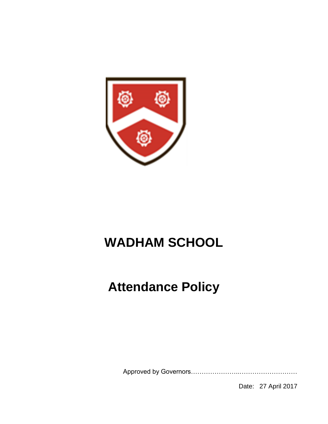

# **WADHAM SCHOOL**

# **Attendance Policy**

Approved by Governors…………………..………………………

Date: 27 April 2017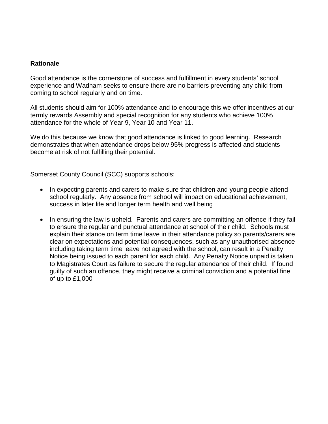## **Rationale**

Good attendance is the cornerstone of success and fulfillment in every students' school experience and Wadham seeks to ensure there are no barriers preventing any child from coming to school regularly and on time.

All students should aim for 100% attendance and to encourage this we offer incentives at our termly rewards Assembly and special recognition for any students who achieve 100% attendance for the whole of Year 9, Year 10 and Year 11.

We do this because we know that good attendance is linked to good learning. Research demonstrates that when attendance drops below 95% progress is affected and students become at risk of not fulfilling their potential.

Somerset County Council (SCC) supports schools:

- In expecting parents and carers to make sure that children and young people attend school regularly. Any absence from school will impact on educational achievement, success in later life and longer term health and well being
- In ensuring the law is upheld. Parents and carers are committing an offence if they fail to ensure the regular and punctual attendance at school of their child. Schools must explain their stance on term time leave in their attendance policy so parents/carers are clear on expectations and potential consequences, such as any unauthorised absence including taking term time leave not agreed with the school, can result in a Penalty Notice being issued to each parent for each child. Any Penalty Notice unpaid is taken to Magistrates Court as failure to secure the regular attendance of their child. If found guilty of such an offence, they might receive a criminal conviction and a potential fine of up to £1,000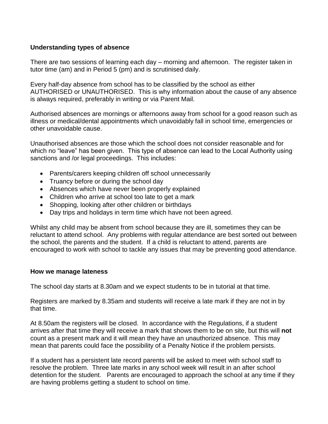## **Understanding types of absence**

There are two sessions of learning each day – morning and afternoon. The register taken in tutor time (am) and in Period 5 (pm) and is scrutinised daily.

Every half-day absence from school has to be classified by the school as either AUTHORISED or UNAUTHORISED. This is why information about the cause of any absence is always required, preferably in writing or via Parent Mail.

Authorised absences are mornings or afternoons away from school for a good reason such as illness or medical/dental appointments which unavoidably fall in school time, emergencies or other unavoidable cause.

Unauthorised absences are those which the school does not consider reasonable and for which no "leave" has been given. This type of absence can lead to the Local Authority using sanctions and /or legal proceedings. This includes:

- Parents/carers keeping children off school unnecessarily
- Truancy before or during the school day
- Absences which have never been properly explained
- Children who arrive at school too late to get a mark
- Shopping, looking after other children or birthdays
- Day trips and holidays in term time which have not been agreed.

Whilst any child may be absent from school because they are ill, sometimes they can be reluctant to attend school. Any problems with regular attendance are best sorted out between the school, the parents and the student. If a child is reluctant to attend, parents are encouraged to work with school to tackle any issues that may be preventing good attendance.

## **How we manage lateness**

The school day starts at 8.30am and we expect students to be in tutorial at that time.

Registers are marked by 8.35am and students will receive a late mark if they are not in by that time.

At 8.50am the registers will be closed. In accordance with the Regulations, if a student arrives after that time they will receive a mark that shows them to be on site, but this will **not** count as a present mark and it will mean they have an unauthorized absence. This may mean that parents could face the possibility of a Penalty Notice if the problem persists.

If a student has a persistent late record parents will be asked to meet with school staff to resolve the problem. Three late marks in any school week will result in an after school detention for the student. Parents are encouraged to approach the school at any time if they are having problems getting a student to school on time.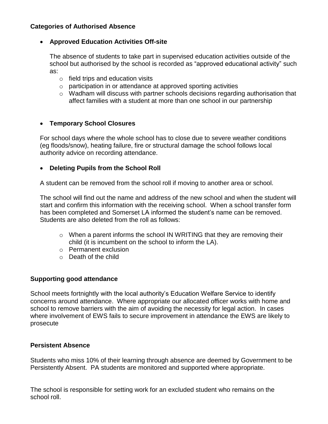## **Categories of Authorised Absence**

## **Approved Education Activities Off-site**

The absence of students to take part in supervised education activities outside of the school but authorised by the school is recorded as "approved educational activity" such as:

- $\circ$  field trips and education visits
- o participation in or attendance at approved sporting activities
- o Wadham will discuss with partner schools decisions regarding authorisation that affect families with a student at more than one school in our partnership

## **Temporary School Closures**

For school days where the whole school has to close due to severe weather conditions (eg floods/snow), heating failure, fire or structural damage the school follows local authority advice on recording attendance.

## **Deleting Pupils from the School Roll**

A student can be removed from the school roll if moving to another area or school.

The school will find out the name and address of the new school and when the student will start and confirm this information with the receiving school. When a school transfer form has been completed and Somerset LA informed the student's name can be removed. Students are also deleted from the roll as follows:

- $\circ$  When a parent informs the school IN WRITING that they are removing their child (it is incumbent on the school to inform the LA).
- o Permanent exclusion
- o Death of the child

## **Supporting good attendance**

School meets fortnightly with the local authority's Education Welfare Service to identify concerns around attendance. Where appropriate our allocated officer works with home and school to remove barriers with the aim of avoiding the necessity for legal action. In cases where involvement of EWS fails to secure improvement in attendance the EWS are likely to prosecute

## **Persistent Absence**

Students who miss 10% of their learning through absence are deemed by Government to be Persistently Absent. PA students are monitored and supported where appropriate.

The school is responsible for setting work for an excluded student who remains on the school roll.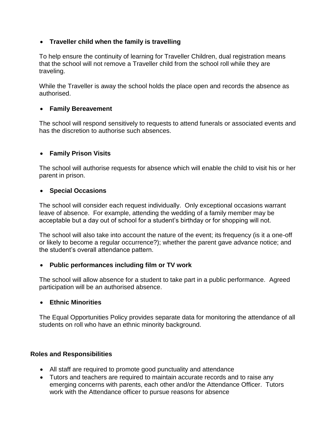# **Traveller child when the family is travelling**

To help ensure the continuity of learning for Traveller Children, dual registration means that the school will not remove a Traveller child from the school roll while they are traveling.

While the Traveller is away the school holds the place open and records the absence as authorised.

# **Family Bereavement**

The school will respond sensitively to requests to attend funerals or associated events and has the discretion to authorise such absences.

# **Family Prison Visits**

The school will authorise requests for absence which will enable the child to visit his or her parent in prison.

## **Special Occasions**

The school will consider each request individually. Only exceptional occasions warrant leave of absence. For example, attending the wedding of a family member may be acceptable but a day out of school for a student's birthday or for shopping will not.

The school will also take into account the nature of the event; its frequency (is it a one-off or likely to become a regular occurrence?); whether the parent gave advance notice; and the student's overall attendance pattern.

## **Public performances including film or TV work**

The school will allow absence for a student to take part in a public performance. Agreed participation will be an authorised absence.

## **Ethnic Minorities**

The Equal Opportunities Policy provides separate data for monitoring the attendance of all students on roll who have an ethnic minority background.

## **Roles and Responsibilities**

- All staff are required to promote good punctuality and attendance
- Tutors and teachers are required to maintain accurate records and to raise any emerging concerns with parents, each other and/or the Attendance Officer. Tutors work with the Attendance officer to pursue reasons for absence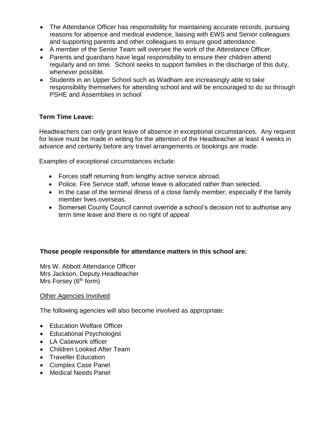- The Attendance Officer has responsibility for maintaining accurate records, pursuing reasons for absence and medical evidence, liaising with EWS and Senior colleagues and supporting parents and other colleagues to ensure good attendance.
- A member of the Senior Team will oversee the work of the Attendance Officer.
- Parents and guardians have legal responsibility to ensure their children attend regularly and on time. School seeks to support families in the discharge of this duty, whenever possible.
- Students in an Upper School such as Wadham are increasingly able to take responsibility themselves for attending school and will be encouraged to do so through PSHE and Assemblies in school

## **Term Time Leave:**

Headteachers can only grant leave of absence in exceptional circumstances. Any request for leave must be made in writing for the attention of the Headteacher at least 4 weeks in advance and certainly before any travel arrangements or bookings are made.

Examples of exceptional circumstances include:

- Forces staff returning from lengthy active service abroad.
- Police, Fire Service staff, whose leave is allocated rather than selected.
- In the case of the terminal illness of a close family member, especially if the family member lives overseas.
- Somerset County Council cannot override a school's decision not to authorise any term time leave and there is no right of appeal

## **Those people responsible for attendance matters in this school are:**

Mrs W. Abbott Attendance Officer Mrs Jackson, Deputy Headteacher Mrs Forsey (6<sup>th</sup> form)

## Other Agencies Involved

The following agencies will also become involved as appropriate:

- Education Welfare Officer
- Educational Psychologist
- LA Casework officer
- Children Looked After Team
- Traveller Education
- Complex Case Panel
- Medical Needs Panel